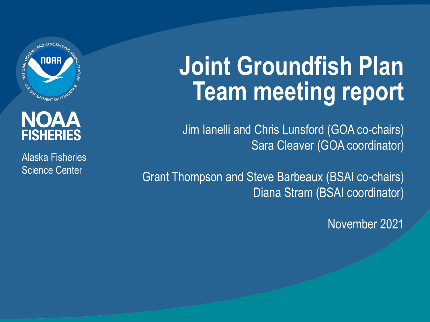

#### NOAA **FISHERIES**

Alaska Fisheries Science Center

# **Joint Groundfish Plan Team meeting report**

Jim Ianelli and Chris Lunsford (GOA co-chairs) Sara Cleaver (GOA coordinator)

Grant Thompson and Steve Barbeaux (BSAI co-chairs) Diana Stram (BSAI coordinator)

November 2021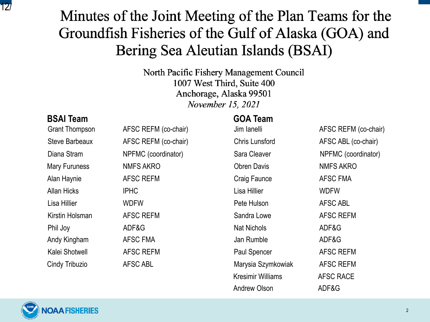$12$ Groundfish Fisheries of the Gulf of Alaska (GOA) and Bering Sea Aleutian Islands (BSAI)

> North Pacific Fishery Management Council 1007 West Third, Suite 400 Anchorage, Alaska 99501 November 15, 2021

#### **BSAI Team GOA Team**

| <b>Grant Thompson</b> | AFSC REFM (co-chair) | Jim lanelli              | AFSC REFM (co-chair) |
|-----------------------|----------------------|--------------------------|----------------------|
| <b>Steve Barbeaux</b> | AFSC REFM (co-chair) | <b>Chris Lunsford</b>    | AFSC ABL (co-chair)  |
| Diana Stram           | NPFMC (coordinator)  | Sara Cleaver             | NPFMC (coordinator)  |
| <b>Mary Furuness</b>  | <b>NMFS AKRO</b>     | <b>Obren Davis</b>       | <b>NMFS AKRO</b>     |
| Alan Haynie           | AFSC REFM            | Craig Faunce             | <b>AFSC FMA</b>      |
| <b>Allan Hicks</b>    | <b>IPHC</b>          | Lisa Hillier             | <b>WDFW</b>          |
| Lisa Hillier          | WDFW                 | Pete Hulson              | <b>AFSC ABL</b>      |
| Kirstin Holsman       | <b>AFSC REFM</b>     | Sandra Lowe              | <b>AFSC REFM</b>     |
| Phil Joy              | ADF&G                | Nat Nichols              | ADF&G                |
| Andy Kingham          | AFSC FMA             | Jan Rumble               | ADF&G                |
| Kalei Shotwell        | <b>AFSC REFM</b>     | Paul Spencer             | <b>AFSC REFM</b>     |
| Cindy Tribuzio        | AFSC ABL             | Marysia Szymkowiak       | <b>AFSC REFM</b>     |
|                       |                      | <b>Kresimir Williams</b> | AFSC RACE            |
|                       |                      | <b>Andrew Olson</b>      | ADF&G                |

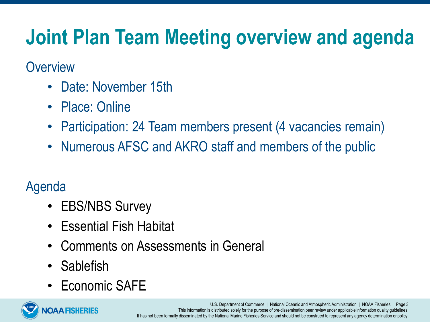# **Joint Plan Team Meeting overview and agenda**

#### **Overview**

- Date: November 15th
- Place: Online
- Participation: 24 Team members present (4 vacancies remain)
- Numerous AFSC and AKRO staff and members of the public

#### Agenda

- EBS/NBS Survey
- Essential Fish Habitat
- Comments on Assessments in General
- Sablefish
- Economic SAFE

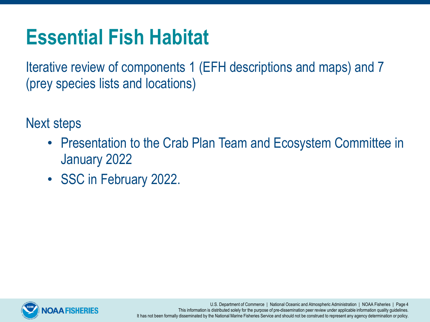# **Essential Fish Habitat**

Iterative review of components 1 (EFH descriptions and maps) and 7 (prey species lists and locations)

Next steps

- Presentation to the Crab Plan Team and Ecosystem Committee in January 2022
- SSC in February 2022.



U.S. Department of Commerce | National Oceanic and Atmospheric Administration | NOAA Fisheries | Page 4 This information is distributed solely for the purpose of pre-dissemination peer review under applicable information quality guidelines. It has not been formally disseminated by the National Marine Fisheries Service and should not be construed to represent any agency determination or policy.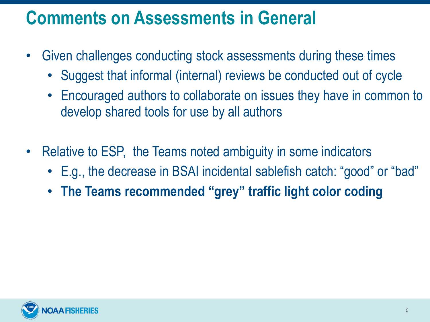#### **Comments on Assessments in General**

- Given challenges conducting stock assessments during these times
	- Suggest that informal (internal) reviews be conducted out of cycle
	- Encouraged authors to collaborate on issues they have in common to develop shared tools for use by all authors
- Relative to ESP, the Teams noted ambiguity in some indicators
	- E.g., the decrease in BSAI incidental sablefish catch: "good" or "bad"
	- **The Teams recommended "grey" traffic light color coding**

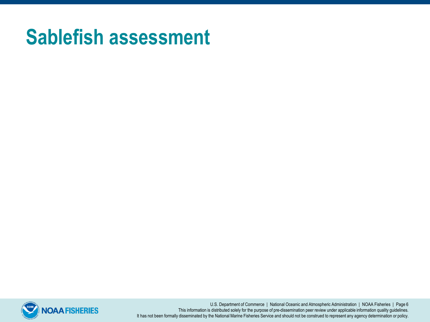### **Sablefish assessment**



U.S. Department of Commerce | National Oceanic and Atmospheric Administration | NOAA Fisheries | Page 6 This information is distributed solely for the purpose of pre-dissemination peer review under applicable information quality guidelines. It has not been formally disseminated by the National Marine Fisheries Service and should not be construed to represent any agency determination or policy.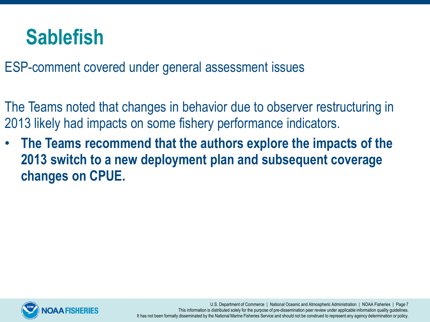#### **Sablefish**

ESP-comment covered under general assessment issues

The Teams noted that changes in behavior due to observer restructuring in 2013 likely had impacts on some fishery performance indicators.

• **The Teams recommend that the authors explore the impacts of the 2013 switch to a new deployment plan and subsequent coverage changes on CPUE.**



U.S. Department of Commerce | National Oceanic and Atmospheric Administration | NOAA Fisheries | Page 7 This information is distributed solely for the purpose of pre-dissemination peer review under applicable information quality guidelines. It has not been formally disseminated by the National Marine Fisheries Service and should not be construed to represent any agency determination or policy.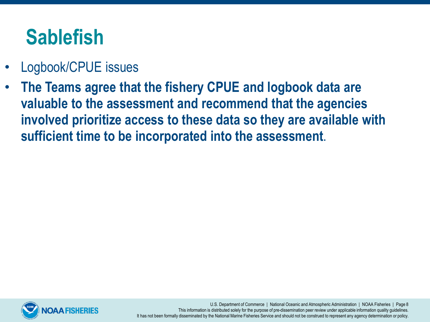# **Sablefish**

- Logbook/CPUE issues
- **The Teams agree that the fishery CPUE and logbook data are valuable to the assessment and recommend that the agencies involved prioritize access to these data so they are available with sufficient time to be incorporated into the assessment**.



U.S. Department of Commerce | National Oceanic and Atmospheric Administration | NOAA Fisheries | Page 8 This information is distributed solely for the purpose of pre-dissemination peer review under applicable information quality guidelines. It has not been formally disseminated by the National Marine Fisheries Service and should not be construed to represent any agency determination or policy.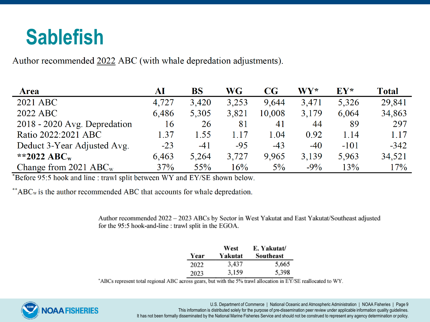### **Sablefish**

Author recommended 2022 ABC (with whale depredation adjustments).

| <b>Area</b>                  | AI    | BS    | WG    | $\bf CG$ | <b>WY*</b> | $EY^*$ | <b>Total</b> |
|------------------------------|-------|-------|-------|----------|------------|--------|--------------|
| 2021 ABC                     | 4,727 | 3,420 | 3,253 | 9,644    | 3,471      | 5,326  | 29,841       |
| 2022 ABC                     | 6,486 | 5,305 | 3,821 | 10,008   | 3,179      | 6,064  | 34,863       |
| 2018 - 2020 Avg. Depredation | 16    | 26    | 81    | 41       | 44         | 89     | 297          |
| Ratio 2022:2021 ABC          | 1.37  | 1.55  | 1 17  | 1.04     | 0.92       | 1.14   | 1.17         |
| Deduct 3-Year Adjusted Avg.  | $-23$ | $-41$ | $-95$ | $-43$    | $-40$      | $-101$ | $-342$       |
| **2022 ABC <sub>w</sub>      | 6,463 | 5,264 | 3,727 | 9,965    | 3,139      | 5,963  | 34,521       |
| Change from 2021 $ABC_w$     | 37%   | 55%   | 16%   | $5\%$    | $-9\%$     | 13%    | 17%          |

\*Before 95:5 hook and line : trawl split between WY and EY/SE shown below.

 $*<sup>*</sup>ABC<sub>w</sub>$  is the author recommended ABC that accounts for whale depredation.

Author recommended 2022 - 2023 ABCs by Sector in West Yakutat and East Yakutat/Southeast adjusted for the 95:5 hook-and-line : trawl split in the EGOA.

|      | West    | E. Yakutat/ |
|------|---------|-------------|
| Year | Yakutat | Southeast   |
| 2022 | 3,437   | 5,665       |
| 2023 | 3,159   | 5,398       |

\*ABCs represent total regional ABC across gears, but with the 5% trawl allocation in EY/SE reallocated to WY.



U.S. Department of Commerce | National Oceanic and Atmospheric Administration | NOAA Fisheries | Page 9 This information is distributed solely for the purpose of pre-dissemination peer review under applicable information quality guidelines. It has not been formally disseminated by the National Marine Fisheries Service and should not be construed to represent any agency determination or policy.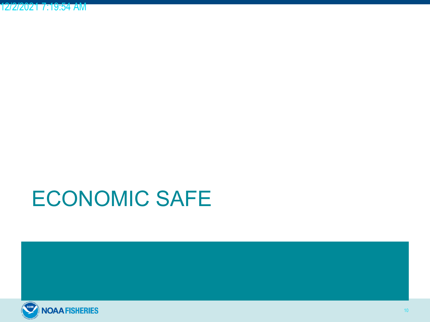# ECONOMIC SAFE

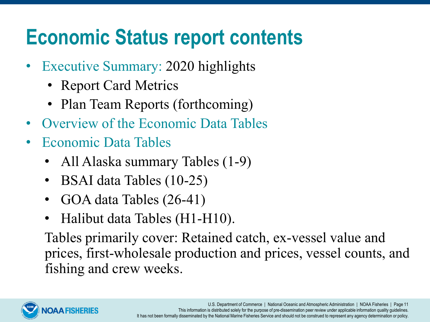# **Economic Status report contents**

- Executive Summary: 2020 highlights
	- Report Card Metrics
	- Plan Team Reports (forthcoming)
- Overview of the Economic Data Tables
- Economic Data Tables
	- All Alaska summary Tables (1-9)
	- BSAI data Tables (10-25)
	- GOA data Tables (26-41)
	- Halibut data Tables (H1-H10).

Tables primarily cover: Retained catch, ex-vessel value and prices, first-wholesale production and prices, vessel counts, and fishing and crew weeks.

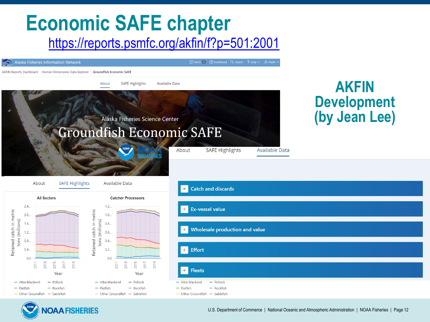#### **Economic SAFE chapter** <https://reports.psmfc.org/akfin/f?p=501:2001>